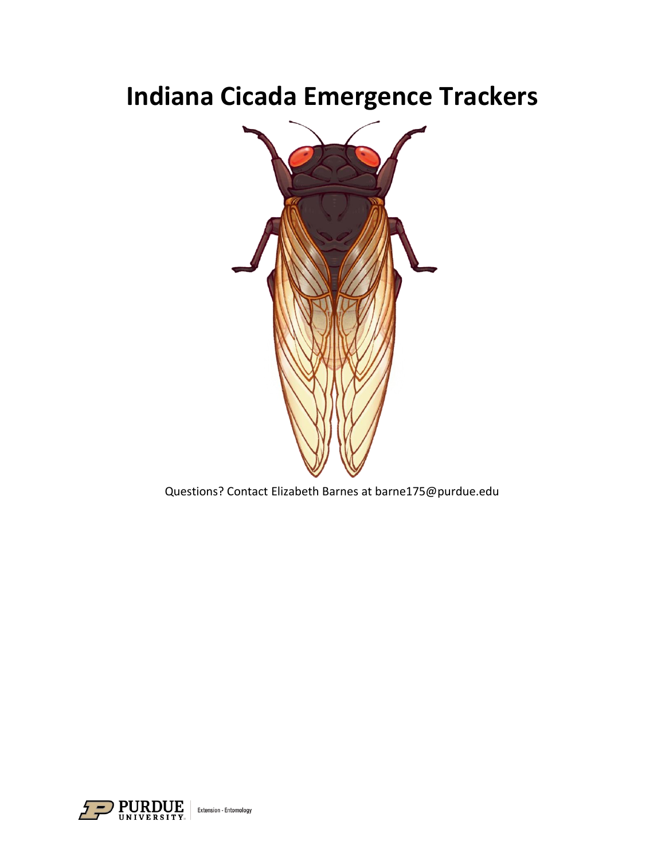# **Indiana Cicada Emergence Trackers**



Questions? Contact Elizabeth Barnes at barne175@purdue.edu

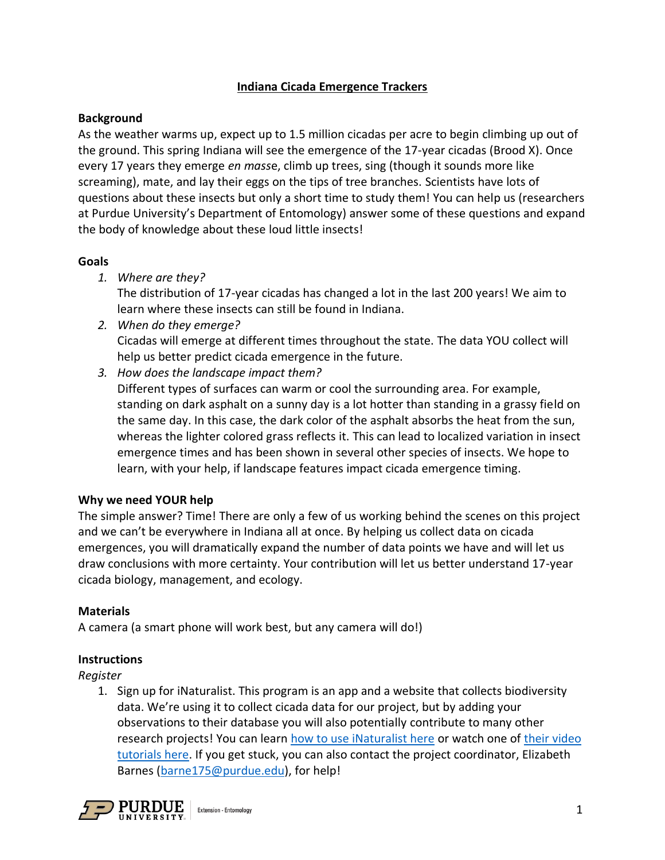# **Indiana Cicada Emergence Trackers**

## **Background**

As the weather warms up, expect up to 1.5 million cicadas per acre to begin climbing up out of the ground. This spring Indiana will see the emergence of the 17-year cicadas (Brood X). Once every 17 years they emerge *en mass*e, climb up trees, sing (though it sounds more like screaming), mate, and lay their eggs on the tips of tree branches. Scientists have lots of questions about these insects but only a short time to study them! You can help us (researchers at Purdue University's Department of Entomology) answer some of these questions and expand the body of knowledge about these loud little insects!

## **Goals**

*1. Where are they?* 

The distribution of 17-year cicadas has changed a lot in the last 200 years! We aim to learn where these insects can still be found in Indiana.

- *2. When do they emerge?*  Cicadas will emerge at different times throughout the state. The data YOU collect will help us better predict cicada emergence in the future.
- *3. How does the landscape impact them?*

Different types of surfaces can warm or cool the surrounding area. For example, standing on dark asphalt on a sunny day is a lot hotter than standing in a grassy field on the same day. In this case, the dark color of the asphalt absorbs the heat from the sun, whereas the lighter colored grass reflects it. This can lead to localized variation in insect emergence times and has been shown in several other species of insects. We hope to learn, with your help, if landscape features impact cicada emergence timing.

## **Why we need YOUR help**

The simple answer? Time! There are only a few of us working behind the scenes on this project and we can't be everywhere in Indiana all at once. By helping us collect data on cicada emergences, you will dramatically expand the number of data points we have and will let us draw conclusions with more certainty. Your contribution will let us better understand 17-year cicada biology, management, and ecology.

# **Materials**

A camera (a smart phone will work best, but any camera will do!)

## **Instructions**

*Register*

1. Sign up for iNaturalist. This program is an app and a website that collects biodiversity data. We're using it to collect cicada data for our project, but by adding your observations to their database you will also potentially contribute to many other research projects! You can learn [how to use iNaturalist here](https://www.inaturalist.org/pages/getting+started) or watch one of [their video](https://www.inaturalist.org/pages/video+tutorials)  [tutorials here.](https://www.inaturalist.org/pages/video+tutorials) If you get stuck, you can also contact the project coordinator, Elizabeth Barnes [\(barne175@purdue.edu\)](mailto:barne175@purdue.edu), for help!

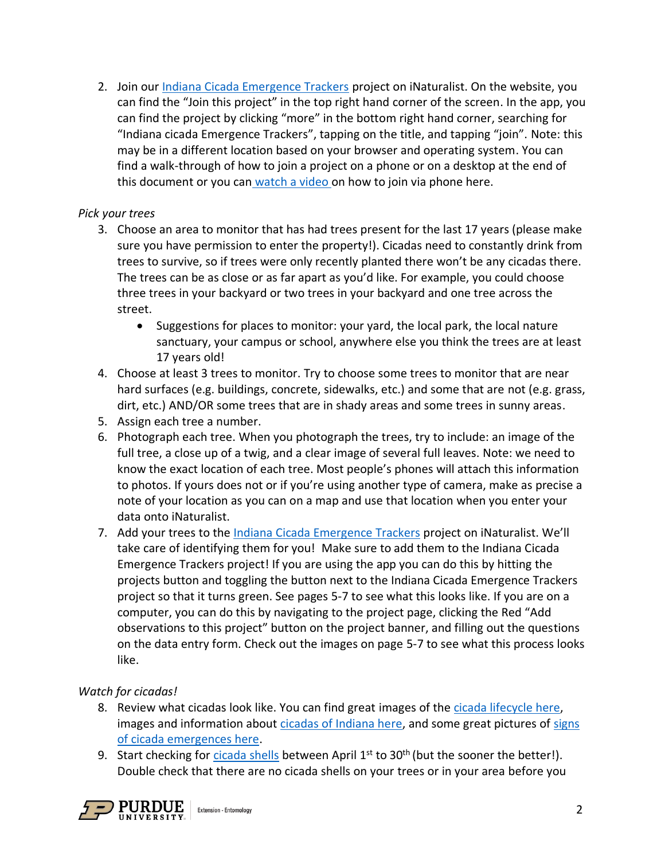2. Join our [Indiana Cicada Emergence Trackers](https://www.inaturalist.org/projects/indiana-cicada-emergence-trackers) project on iNaturalist. On the website, you can find the "Join this project" in the top right hand corner of the screen. In the app, you can find the project by clicking "more" in the bottom right hand corner, searching for "Indiana cicada Emergence Trackers", tapping on the title, and tapping "join". Note: this may be in a different location based on your browser and operating system. You can find a walk-through of how to join a project on a phone or on a desktop at the end of this document or you can [watch a video o](https://www.youtube.com/watch?v=NYv_gUDqQyU)n how to join via phone here.

# *Pick your trees*

- 3. Choose an area to monitor that has had trees present for the last 17 years (please make sure you have permission to enter the property!). Cicadas need to constantly drink from trees to survive, so if trees were only recently planted there won't be any cicadas there. The trees can be as close or as far apart as you'd like. For example, you could choose three trees in your backyard or two trees in your backyard and one tree across the street.
	- Suggestions for places to monitor: your yard, the local park, the local nature sanctuary, your campus or school, anywhere else you think the trees are at least 17 years old!
- 4. Choose at least 3 trees to monitor. Try to choose some trees to monitor that are near hard surfaces (e.g. buildings, concrete, sidewalks, etc.) and some that are not (e.g. grass, dirt, etc.) AND/OR some trees that are in shady areas and some trees in sunny areas.
- 5. Assign each tree a number.
- 6. Photograph each tree. When you photograph the trees, try to include: an image of the full tree, a close up of a twig, and a clear image of several full leaves. Note: we need to know the exact location of each tree. Most people's phones will attach this information to photos. If yours does not or if you're using another type of camera, make as precise a note of your location as you can on a map and use that location when you enter your data onto iNaturalist.
- 7. Add your trees to the [Indiana Cicada Emergence Trackers](https://www.inaturalist.org/projects/indiana-cicada-emergence-trackers) project on iNaturalist. We'll take care of identifying them for you! Make sure to add them to the Indiana Cicada Emergence Trackers project! If you are using the app you can do this by hitting the projects button and toggling the button next to the Indiana Cicada Emergence Trackers project so that it turns green. See pages 5-7 to see what this looks like. If you are on a computer, you can do this by navigating to the project page, clicking the Red "Add observations to this project" button on the project banner, and filling out the questions on the data entry form. Check out the images on page 5-7 to see what this process looks like.

# *Watch for cicadas!*

- 8. Review what cicadas look like. You can find great images of th[e cicada lifecycle here,](https://www.cicadamania.com/images/cycle.webp) images and information about [cicadas of Indiana here,](https://www.cicadamania.com/cicadas/common-cicadas-of-indiana/) and some great pictures of [signs](https://www.cicadamania.com/cicadas/cicada-nymphs-chimneys-and-holes/)  [of cicada emergences here.](https://www.cicadamania.com/cicadas/cicada-nymphs-chimneys-and-holes/)
- 9. Start checking for [cicada shells](https://www.cicadamania.com/cicadas/cicada-nymphs-chimneys-and-holes/) between April  $1<sup>st</sup>$  to 30<sup>th</sup> (but the sooner the better!). Double check that there are no cicada shells on your trees or in your area before you

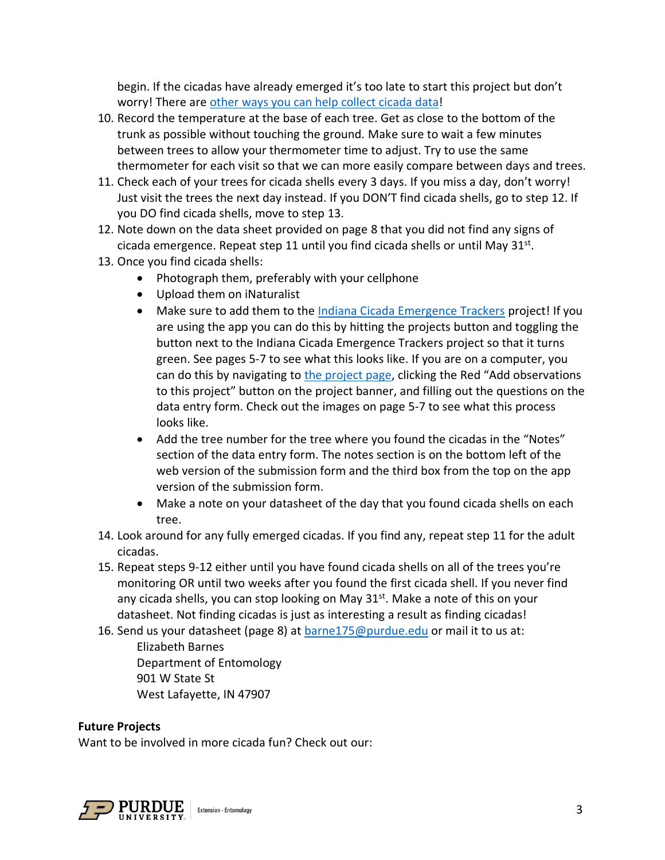begin. If the cicadas have already emerged it's too late to start this project but don't worry! There are [other ways you can help collect cicada data!](https://www.inaturalist.org/projects/indiana-cicada-fest)

- 10. Record the temperature at the base of each tree. Get as close to the bottom of the trunk as possible without touching the ground. Make sure to wait a few minutes between trees to allow your thermometer time to adjust. Try to use the same thermometer for each visit so that we can more easily compare between days and trees.
- 11. Check each of your trees for cicada shells every 3 days. If you miss a day, don't worry! Just visit the trees the next day instead. If you DON'T find cicada shells, go to step 12. If you DO find cicada shells, move to step 13.
- 12. Note down on the data sheet provided on page 8 that you did not find any signs of cicada emergence. Repeat step 11 until you find cicada shells or until May 31<sup>st</sup>.
- 13. Once you find cicada shells:
	- Photograph them, preferably with your cellphone
	- Upload them on iNaturalist
	- Make sure to add them to the [Indiana Cicada Emergence Trackers](https://www.inaturalist.org/projects/indiana-cicada-emergence-trackers) project! If you are using the app you can do this by hitting the projects button and toggling the button next to the Indiana Cicada Emergence Trackers project so that it turns green. See pages 5-7 to see what this looks like. If you are on a computer, you can do this by navigating to [the project page,](https://www.inaturalist.org/projects/indiana-cicada-emergence-trackers) clicking the Red "Add observations to this project" button on the project banner, and filling out the questions on the data entry form. Check out the images on page 5-7 to see what this process looks like.
	- Add the tree number for the tree where you found the cicadas in the "Notes" section of the data entry form. The notes section is on the bottom left of the web version of the submission form and the third box from the top on the app version of the submission form.
	- Make a note on your datasheet of the day that you found cicada shells on each tree.
- 14. Look around for any fully emerged cicadas. If you find any, repeat step 11 for the adult cicadas.
- 15. Repeat steps 9-12 either until you have found cicada shells on all of the trees you're monitoring OR until two weeks after you found the first cicada shell. If you never find any cicada shells, you can stop looking on May  $31<sup>st</sup>$ . Make a note of this on your datasheet. Not finding cicadas is just as interesting a result as finding cicadas!
- 16. Send us your datasheet (page 8) at **barne175@purdue.edu** or mail it to us at: Elizabeth Barnes Department of Entomology 901 W State St West Lafayette, IN 47907

#### **Future Projects**

Want to be involved in more cicada fun? Check out our:

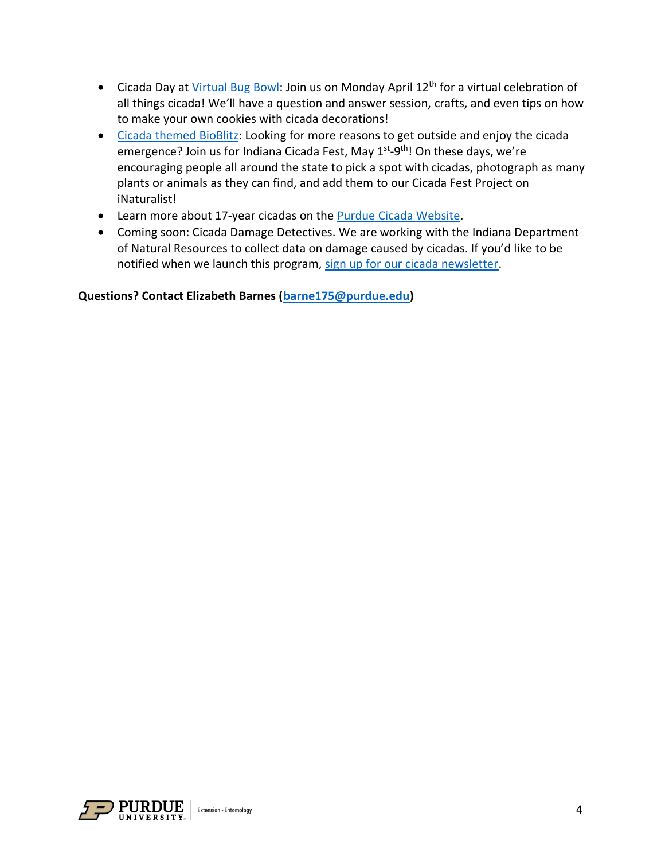- Cicada Day a[t Virtual Bug Bowl:](https://extension.entm.purdue.edu/bugbowl/schedule-of-events/) Join us on Monday April 12<sup>th</sup> for a virtual celebration of all things cicada! We'll have a question and answer session, crafts, and even tips on how to make your own cookies with cicada decorations!
- [Cicada themed BioBlitz:](https://www.inaturalist.org/projects/indiana-cicada-fest) Looking for more reasons to get outside and enjoy the cicada emergence? Join us for Indiana Cicada Fest, May 1<sup>st</sup>-9<sup>th</sup>! On these days, we're encouraging people all around the state to pick a spot with cicadas, photograph as many plants or animals as they can find, and add them to our Cicada Fest Project on iNaturalist!
- Learn more about 17-year cicadas on the [Purdue Cicada Website.](https://www.entm.purdue.edu/cicada)
- Coming soon: Cicada Damage Detectives. We are working with the Indiana Department of Natural Resources to collect data on damage caused by cicadas. If you'd like to be notified when we launch this program, [sign up for our cicada newsletter.](https://purdue.ca1.qualtrics.com/jfe/form/SV_bpFUuqAS9lNSteK)

**Questions? Contact Elizabeth Barnes [\(barne175@purdue.edu\)](mailto:barne175@purdue.edu?subject=Cicada%20Trackers%20Question)**

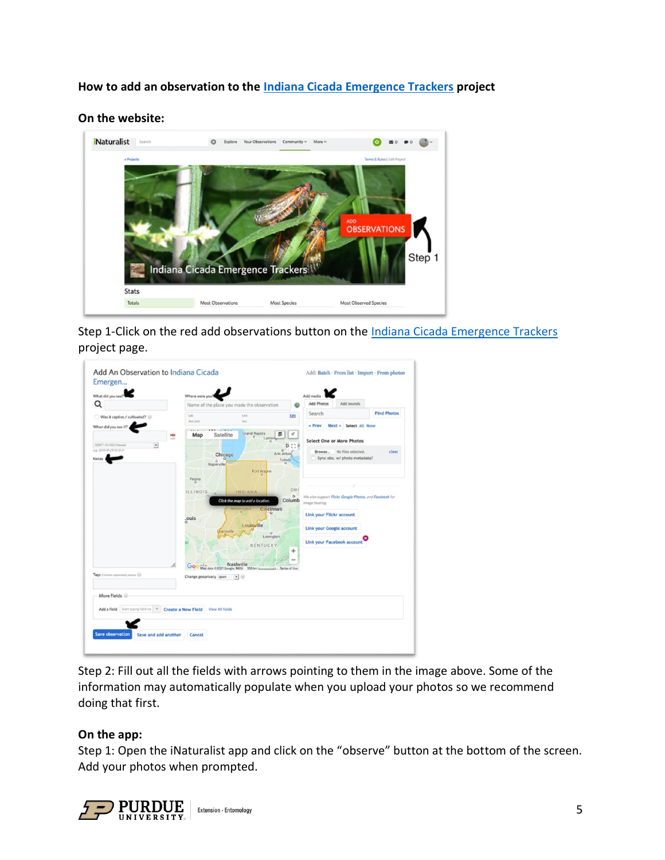# **How to add an observation to the [Indiana Cicada Emergence Trackers](https://www.inaturalist.org/projects/indiana-cicada-emergence-trackers) project**

#### **On the website:**



Step 1-Click on the red add observations button on the [Indiana Cicada Emergence Trackers](https://www.inaturalist.org/projects/indiana-cicada-emergence-trackers) project page.

| What did you see                                           | Where were you?                                                                  | Add media                                                             |
|------------------------------------------------------------|----------------------------------------------------------------------------------|-----------------------------------------------------------------------|
| Q                                                          | Name of the place you made the observation                                       | Add Photos<br>Add sounds                                              |
| Was it captive / cultivated?                               | Latr<br>Lim<br>Ldit                                                              | <b>Find Photos</b><br>Search                                          |
| When did you see it?                                       | Acc (m)<br>Sec<br><b>AMERICAN COMPANY</b>                                        | $-$ Prev<br>Next = Select All None                                    |
|                                                            | <b>Grand Rapids</b><br>さ<br>v<br>Satellite<br>Map<br>ó<br>Lansing                | <b>Select One or More Photos</b>                                      |
| (GMT-10:00) Hawaii<br>$\bullet$<br>4 & 2019-10-29 12 12-21 | $\mathbb{C}^n$<br>D.                                                             |                                                                       |
| <b>Notes</b>                                               | Ann Arbor<br>Chicago<br>Toledo<br>ö                                              | No files selected.<br>clear<br>Browse<br>Sync obs. w/ photo metadata? |
|                                                            | Naperville                                                                       |                                                                       |
|                                                            | Fort Wayne<br>Peoria                                                             |                                                                       |
|                                                            | ä<br>OHI                                                                         |                                                                       |
|                                                            | <b>ILLINOIS</b><br>INDIANA<br>$\circ$                                            | We also support Flicks, Google Photos, and Facebook for               |
|                                                            | Columb<br>Click the map to add a location                                        | Image hosting.                                                        |
|                                                            | Cincinnati<br>$\ddot{\mathbf{o}}$                                                | Link your Flickr account                                              |
|                                                            | _ouis<br>Louisville                                                              |                                                                       |
|                                                            | Exansville<br>$\circ$                                                            | <b>Link your Google account</b>                                       |
|                                                            | Lexington<br>\$t<br><b>KENTUCKY</b>                                              | Link your Facebook account                                            |
|                                                            | +                                                                                |                                                                       |
|                                                            |                                                                                  |                                                                       |
|                                                            | Nashville<br>Map data 02021 Google, INEGI 100 km L.<br>Go<br><b>Jerms</b> of Use |                                                                       |
| Tags Comme organized please [1]                            | Change geoprivacy open<br>$\rightarrow$                                          |                                                                       |
|                                                            |                                                                                  |                                                                       |
| More Fields                                                |                                                                                  |                                                                       |
|                                                            |                                                                                  |                                                                       |
| Add a Field Start typing field na - Create a New Field     | <b>View All fields</b>                                                           |                                                                       |
|                                                            |                                                                                  |                                                                       |

Step 2: Fill out all the fields with arrows pointing to them in the image above. Some of the information may automatically populate when you upload your photos so we recommend doing that first.

#### **On the app:**

Step 1: Open the iNaturalist app and click on the "observe" button at the bottom of the screen. Add your photos when prompted.

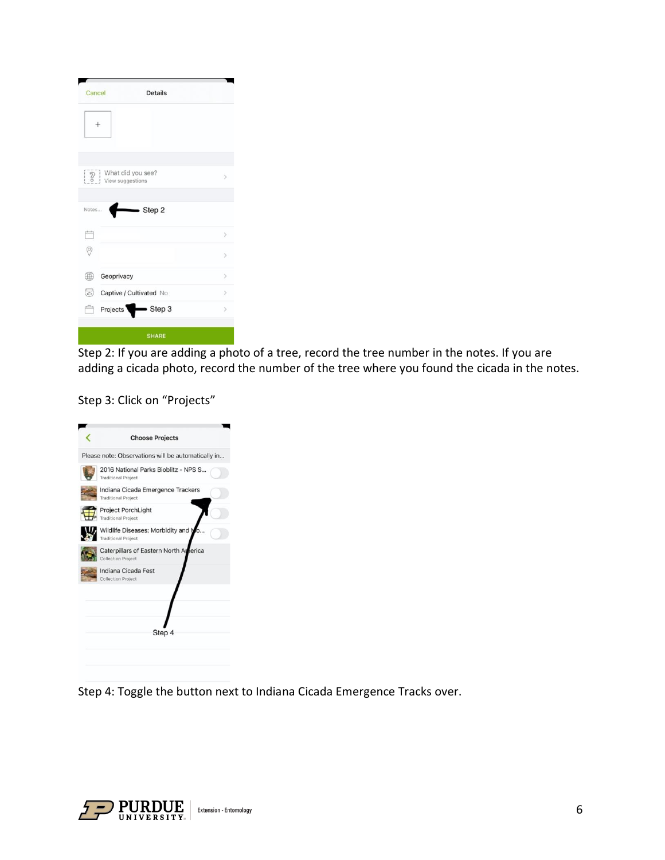| Cancel                         | <b>Details</b>               |               |
|--------------------------------|------------------------------|---------------|
|                                |                              |               |
| $\sqrt{2}$<br>View suggestions | What did you see?            | $\rightarrow$ |
| Notes                          | Sep2                         |               |
|                                |                              |               |
|                                |                              | $\rightarrow$ |
| $\hat{e}$                      |                              | $\geq$        |
| Geoprivacy                     |                              | $\mathcal{P}$ |
| B                              | Captive / Cultivated No      | $\rightarrow$ |
| æ<br><b>Projects</b>           | $\blacktriangleright$ Step 3 | $\mathcal{P}$ |

Step 2: If you are adding a photo of a tree, record the tree number in the notes. If you are adding a cicada photo, record the number of the tree where you found the cicada in the notes.

Step 3: Click on "Projects"

| Please note: Observations will be automatically in<br>2016 National Parks Bioblitz - NPS S<br><b>Traditional Project</b><br>Indiana Cicada Emergence Trackers<br><b>Traditional Project</b><br><b>Project PorchLight</b><br><b>Traditional Project</b><br>Wildlife Diseases: Morbidity and M |  |
|----------------------------------------------------------------------------------------------------------------------------------------------------------------------------------------------------------------------------------------------------------------------------------------------|--|
|                                                                                                                                                                                                                                                                                              |  |
|                                                                                                                                                                                                                                                                                              |  |
|                                                                                                                                                                                                                                                                                              |  |
|                                                                                                                                                                                                                                                                                              |  |
| <b>Traditional Project</b>                                                                                                                                                                                                                                                                   |  |
| Caterpillars of Eastern North America<br><b>Collection Project</b>                                                                                                                                                                                                                           |  |
| Indiana Cicada Fest<br><b>Collection Project</b>                                                                                                                                                                                                                                             |  |
| Step 4                                                                                                                                                                                                                                                                                       |  |

Step 4: Toggle the button next to Indiana Cicada Emergence Tracks over.

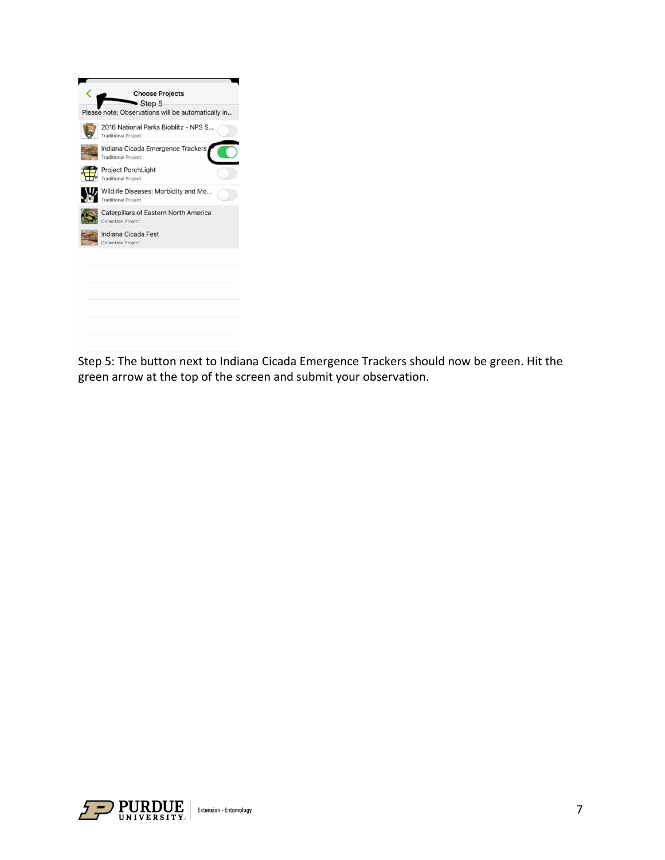

Step 5: The button next to Indiana Cicada Emergence Trackers should now be green. Hit the green arrow at the top of the screen and submit your observation.